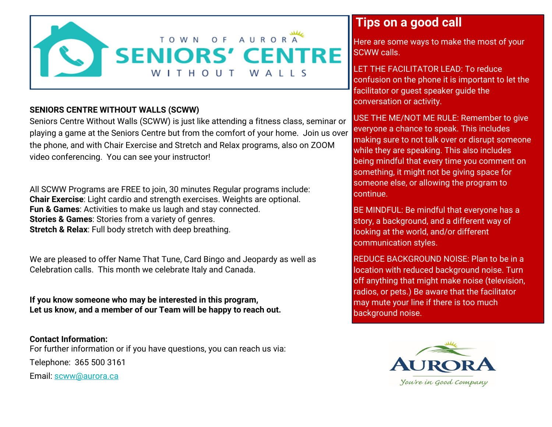

## **SENIORS CENTRE WITHOUT WALLS (SCWW)**

Seniors Centre Without Walls (SCWW) is just like attending a fitness class, seminar or playing a game at the Seniors Centre but from the comfort of your home. Join us over the phone, and with Chair Exercise and Stretch and Relax programs, also on ZOOM video conferencing. You can see your instructor!

All SCWW Programs are FREE to join, 30 minutes Regular programs include: **Chair Exercise**: Light cardio and strength exercises. Weights are optional. **Fun & Games**: Activities to make us laugh and stay connected. **Stories & Games**: Stories from a variety of genres. **Stretch & Relax**: Full body stretch with deep breathing.

We are pleased to offer Name That Tune, Card Bingo and Jeopardy as well as Celebration calls. This month we celebrate Italy and Canada.

**If you know someone who may be interested in this program, Let us know, and a member of our Team will be happy to reach out.**

**Contact Information:** For further information or if you have questions, you can reach us via: Telephone: 365 500 3161

Email: [scww@aurora.ca](mailto:scww@aurora.ca)

## **Tips on a good call**

Here are some ways to make the most of your SCWW calls.

LET THE FACILITATOR LEAD: To reduce confusion on the phone it is important to let the facilitator or guest speaker guide the conversation or activity.

USE THE ME/NOT ME RULE: Remember to give everyone a chance to speak. This includes making sure to not talk over or disrupt someone while they are speaking. This also includes being mindful that every time you comment on something, it might not be giving space for someone else, or allowing the program to continue.

BE MINDFUL: Be mindful that everyone has a story, a background, and a different way of looking at the world, and/or different communication styles.

REDUCE BACKGROUND NOISE: Plan to be in a location with reduced background noise. Turn off anything that might make noise (television, radios, or pets.) Be aware that the facilitator may mute your line if there is too much background noise.